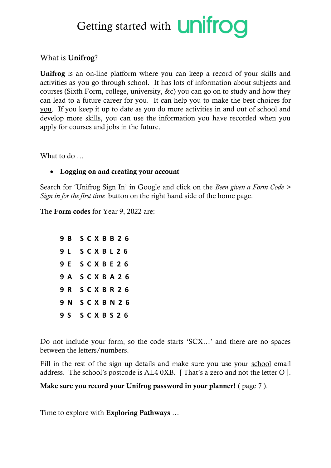## Getting started with **UNITOO**

## What is **Unifrog**?

Unifrog is an on-line platform where you can keep a record of your skills and activities as you go through school. It has lots of information about subjects and courses (Sixth Form, college, university, &c) you can go on to study and how they can lead to a future career for you. It can help you to make the best choices for you. If you keep it up to date as you do more activities in and out of school and develop more skills, you can use the information you have recorded when you apply for courses and jobs in the future.

What to do  $\sim$ 

## • Logging on and creating your account

Search for 'Unifrog Sign In' in Google and click on the *Been given a Form Code > Sign in for the first time* button on the right hand side of the home page.

The Form codes for Year 9, 2022 are:

|  |  |  | 9 B S C X B B 2 6        |  |
|--|--|--|--------------------------|--|
|  |  |  | 9 L S C X B L 2 6        |  |
|  |  |  | <b>9 E S C X B E 2 6</b> |  |
|  |  |  | <b>9 A S C X B A 2 6</b> |  |
|  |  |  | <b>9 R S C X B R 2 6</b> |  |
|  |  |  | <b>9 N S C X B N 2 6</b> |  |
|  |  |  | 9 S S C X B S 2 6        |  |

Do not include your form, so the code starts 'SCX…' and there are no spaces between the letters/numbers.

Fill in the rest of the sign up details and make sure you use your school email address. The school's postcode is AL4 0XB. [ That's a zero and not the letter O ].

Make sure you record your Unifrog password in your planner! ( page 7 ).

Time to explore with Exploring Pathways …